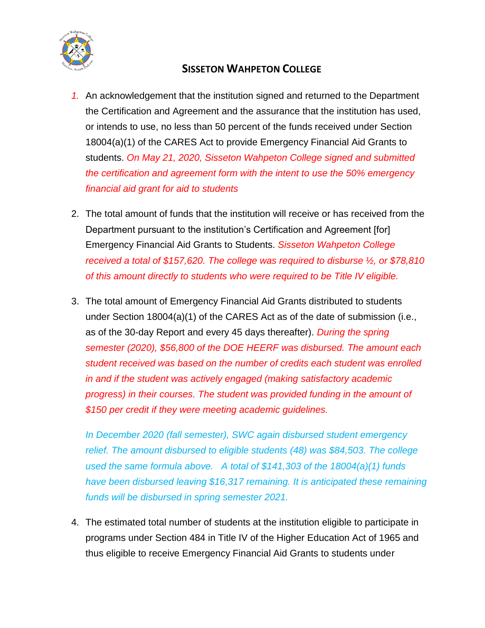

## **SISSETON WAHPETON COLLEGE**

- *1.* An acknowledgement that the institution signed and returned to the Department the Certification and Agreement and the assurance that the institution has used, or intends to use, no less than 50 percent of the funds received under Section 18004(a)(1) of the CARES Act to provide Emergency Financial Aid Grants to students. *On May 21, 2020, Sisseton Wahpeton College signed and submitted the certification and agreement form with the intent to use the 50% emergency financial aid grant for aid to students*
- 2. The total amount of funds that the institution will receive or has received from the Department pursuant to the institution's Certification and Agreement [for] Emergency Financial Aid Grants to Students. *Sisseton Wahpeton College received a total of \$157,620. The college was required to disburse ½, or \$78,810 of this amount directly to students who were required to be Title IV eligible.*
- 3. The total amount of Emergency Financial Aid Grants distributed to students under Section 18004(a)(1) of the CARES Act as of the date of submission (i.e., as of the 30-day Report and every 45 days thereafter). *During the spring semester (2020), \$56,800 of the DOE HEERF was disbursed. The amount each student received was based on the number of credits each student was enrolled in and if the student was actively engaged (making satisfactory academic progress) in their courses. The student was provided funding in the amount of \$150 per credit if they were meeting academic guidelines.*

*In December 2020 (fall semester), SWC again disbursed student emergency relief. The amount disbursed to eligible students (48) was \$84,503. The college used the same formula above. A total of \$141,303 of the 18004(a)(1) funds have been disbursed leaving \$16,317 remaining. It is anticipated these remaining funds will be disbursed in spring semester 2021.*

4. The estimated total number of students at the institution eligible to participate in programs under Section 484 in Title IV of the Higher Education Act of 1965 and thus eligible to receive Emergency Financial Aid Grants to students under